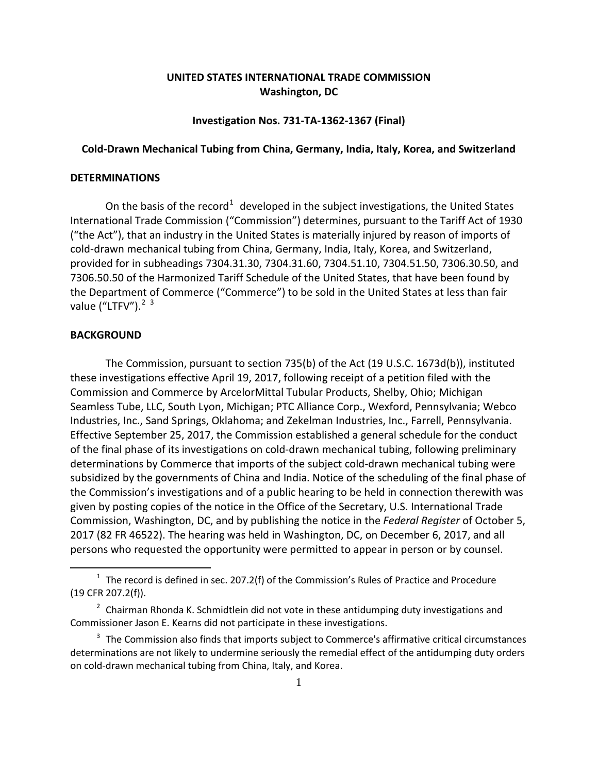# **UNITED STATES INTERNATIONAL TRADE COMMISSION Washington, DC**

## **Investigation Nos. 731-TA-1362-1367 (Final)**

## **Cold-Drawn Mechanical Tubing from China, Germany, India, Italy, Korea, and Switzerland**

### **DETERMINATIONS**

On the basis of the record<sup>[1](#page-0-0)</sup> developed in the subject investigations, the United States International Trade Commission ("Commission") determines, pursuant to the Tariff Act of 1930 ("the Act"), that an industry in the United States is materially injured by reason of imports of cold-drawn mechanical tubing from China, Germany, India, Italy, Korea, and Switzerland, provided for in subheadings 7304.31.30, 7304.31.60, 7304.51.10, 7304.51.50, 7306.30.50, and 7306.50.50 of the Harmonized Tariff Schedule of the United States, that have been found by the Department of Commerce ("Commerce") to be sold in the United States at less than fair value ("LTFV").<sup>[2](#page-0-1) [3](#page-0-2)</sup>

### **BACKGROUND**

 $\overline{a}$ 

The Commission, pursuant to section 735(b) of the Act (19 U.S.C. 1673d(b)), instituted these investigations effective April 19, 2017, following receipt of a petition filed with the Commission and Commerce by ArcelorMittal Tubular Products, Shelby, Ohio; Michigan Seamless Tube, LLC, South Lyon, Michigan; PTC Alliance Corp., Wexford, Pennsylvania; Webco Industries, Inc., Sand Springs, Oklahoma; and Zekelman Industries, Inc., Farrell, Pennsylvania. Effective September 25, 2017, the Commission established a general schedule for the conduct of the final phase of its investigations on cold-drawn mechanical tubing, following preliminary determinations by Commerce that imports of the subject cold-drawn mechanical tubing were subsidized by the governments of China and India. Notice of the scheduling of the final phase of the Commission's investigations and of a public hearing to be held in connection therewith was given by posting copies of the notice in the Office of the Secretary, U.S. International Trade Commission, Washington, DC, and by publishing the notice in the *Federal Register* of October 5, 2017 (82 FR 46522). The hearing was held in Washington, DC, on December 6, 2017, and all persons who requested the opportunity were permitted to appear in person or by counsel.

<span id="page-0-0"></span> $1$  The record is defined in sec. 207.2(f) of the Commission's Rules of Practice and Procedure (19 CFR 207.2(f)).

<span id="page-0-1"></span> $<sup>2</sup>$  Chairman Rhonda K. Schmidtlein did not vote in these antidumping duty investigations and</sup> Commissioner Jason E. Kearns did not participate in these investigations.

<span id="page-0-2"></span> $3$  The Commission also finds that imports subject to Commerce's affirmative critical circumstances determinations are not likely to undermine seriously the remedial effect of the antidumping duty orders on cold-drawn mechanical tubing from China, Italy, and Korea.